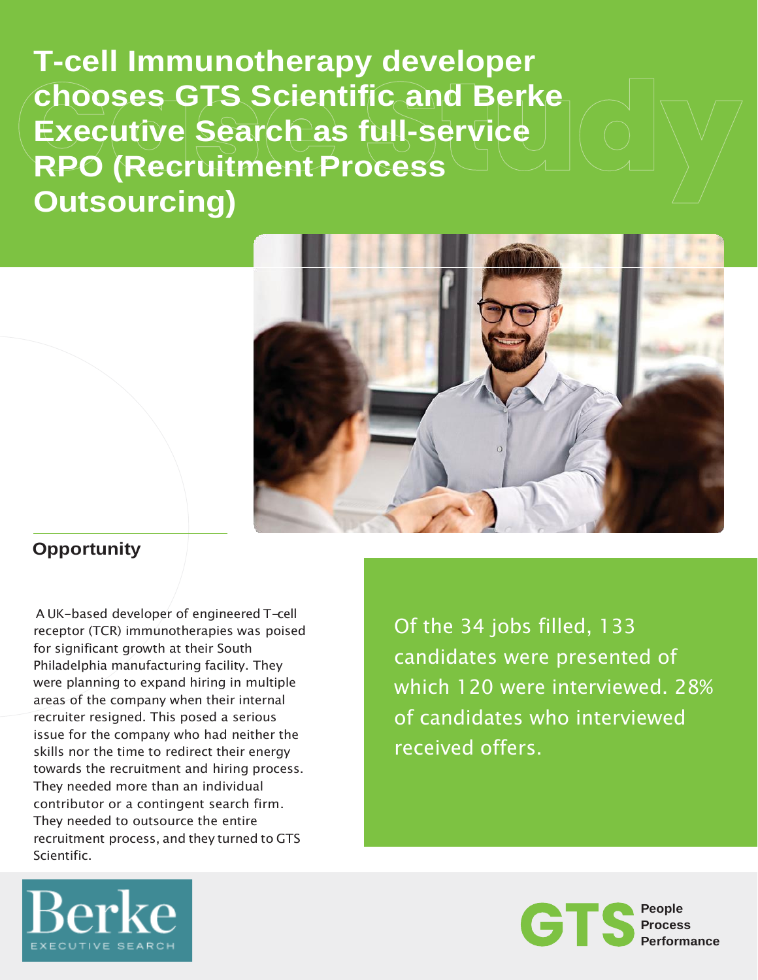**T-cell Immunotherapy developer chooses GTS Scientific and Berke Executive Search as full-service RPO (Recruitment Process Outsourcing)**



## **Opportunity**

A UK-based developer of engineered T-cell receptor (TCR) immunotherapies was poised for significant growth at their South Philadelphia manufacturing facility. They were planning to expand hiring in multiple areas of the company when their internal recruiter resigned. This posed a serious issue for the company who had neither the skills nor the time to redirect their energy towards the recruitment and hiring process. They needed more than an individual contributor or a contingent search firm. They needed to outsource the entire recruitment process, and they turned to GTS Scientific.

Of the 34 jobs filled, 133 candidates were presented of which 120 were interviewed. 28% of candidates who interviewed received offers.